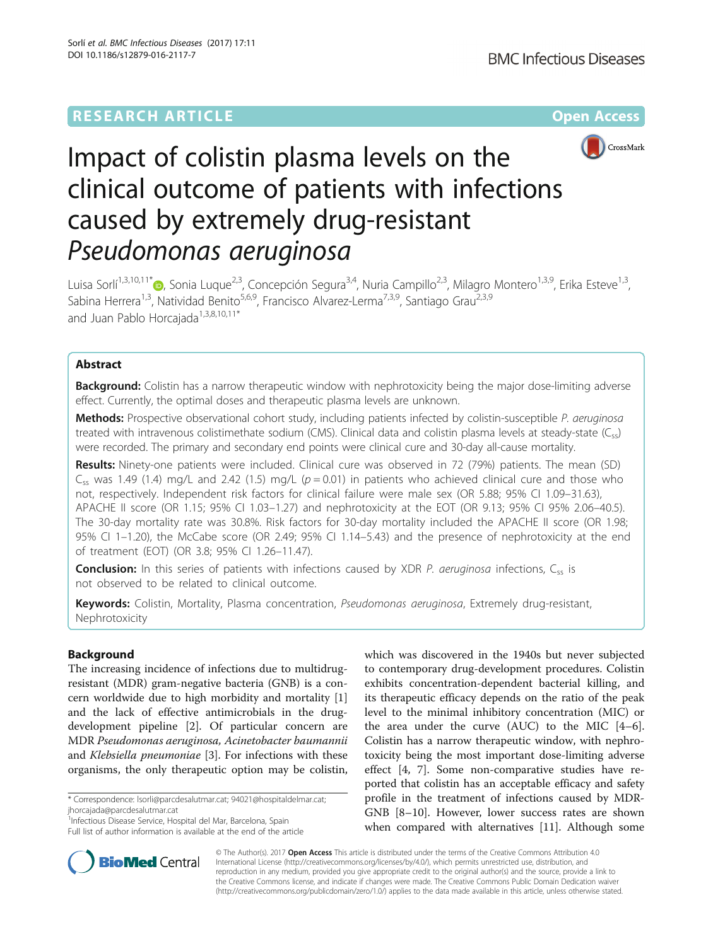# **RESEARCH ARTICLE Example 2014 12:30 The Contract of Contract ACCESS**



# Impact of colistin plasma levels on the clinical outcome of patients with infections caused by extremely drug-resistant Pseudomonas aeruginosa

Luisa Sorlí<sup>1[,](http://orcid.org/0000-0001-9562-514X)3,10,11\*</sup> , Sonia Luque<sup>2,3</sup>, Concepción Segura<sup>3,4</sup>, Nuria Campillo<sup>2,3</sup>, Milagro Montero<sup>1,3,9</sup>, Erika Esteve<sup>1,3</sup>, Sabina Herrera<sup>1,3</sup>, Natividad Benito<sup>5,6,9</sup>, Francisco Alvarez-Lerma<sup>7,3,9</sup>, Santiago Grau<sup>2,3,9</sup> and Juan Pablo Horcajada<sup>1,3,8,10,11\*</sup>

# Abstract

**Background:** Colistin has a narrow therapeutic window with nephrotoxicity being the major dose-limiting adverse effect. Currently, the optimal doses and therapeutic plasma levels are unknown.

Methods: Prospective observational cohort study, including patients infected by colistin-susceptible P. aeruginosa treated with intravenous colistimethate sodium (CMS). Clinical data and colistin plasma levels at steady-state (Css) were recorded. The primary and secondary end points were clinical cure and 30-day all-cause mortality.

Results: Ninety-one patients were included. Clinical cure was observed in 72 (79%) patients. The mean (SD)  $C_{ss}$  was 1.49 (1.4) mg/L and 2.42 (1.5) mg/L ( $p = 0.01$ ) in patients who achieved clinical cure and those who not, respectively. Independent risk factors for clinical failure were male sex (OR 5.88; 95% CI 1.09–31.63), APACHE II score (OR 1.15; 95% CI 1.03–1.27) and nephrotoxicity at the EOT (OR 9.13; 95% CI 95% 2.06–40.5). The 30-day mortality rate was 30.8%. Risk factors for 30-day mortality included the APACHE II score (OR 1.98; 95% CI 1–1.20), the McCabe score (OR 2.49; 95% CI 1.14–5.43) and the presence of nephrotoxicity at the end of treatment (EOT) (OR 3.8; 95% CI 1.26–11.47).

**Conclusion:** In this series of patients with infections caused by XDR P. aeruginosa infections,  $C_{ss}$  is not observed to be related to clinical outcome.

Keywords: Colistin, Mortality, Plasma concentration, *Pseudomonas aeruginosa*, Extremely drug-resistant, Nephrotoxicity

# Background

The increasing incidence of infections due to multidrugresistant (MDR) gram-negative bacteria (GNB) is a concern worldwide due to high morbidity and mortality [\[1](#page-7-0)] and the lack of effective antimicrobials in the drugdevelopment pipeline [\[2](#page-7-0)]. Of particular concern are MDR Pseudomonas aeruginosa, Acinetobacter baumannii and Klebsiella pneumoniae [\[3](#page-7-0)]. For infections with these organisms, the only therapeutic option may be colistin,

\* Correspondence: [lsorli@parcdesalutmar.cat;](mailto:lsorli@parcdesalutmar.cat) [94021@hospitaldelmar.cat](mailto:94021@hospitaldelmar.cat); [jhorcajada@parcdesalutmar.cat](mailto:jhorcajada@parcdesalutmar.cat)

1<sup>1</sup> Infectious Disease Service, Hospital del Mar, Barcelona, Spain Full list of author information is available at the end of the article which was discovered in the 1940s but never subjected to contemporary drug-development procedures. Colistin exhibits concentration-dependent bacterial killing, and its therapeutic efficacy depends on the ratio of the peak level to the minimal inhibitory concentration (MIC) or the area under the curve (AUC) to the MIC [\[4](#page-7-0)–[6](#page-7-0)]. Colistin has a narrow therapeutic window, with nephrotoxicity being the most important dose-limiting adverse effect [[4, 7\]](#page-7-0). Some non-comparative studies have reported that colistin has an acceptable efficacy and safety profile in the treatment of infections caused by MDR-GNB [\[8](#page-7-0)–[10](#page-7-0)]. However, lower success rates are shown when compared with alternatives [[11\]](#page-7-0). Although some



© The Author(s). 2017 **Open Access** This article is distributed under the terms of the Creative Commons Attribution 4.0 International License [\(http://creativecommons.org/licenses/by/4.0/](http://creativecommons.org/licenses/by/4.0/)), which permits unrestricted use, distribution, and reproduction in any medium, provided you give appropriate credit to the original author(s) and the source, provide a link to the Creative Commons license, and indicate if changes were made. The Creative Commons Public Domain Dedication waiver [\(http://creativecommons.org/publicdomain/zero/1.0/](http://creativecommons.org/publicdomain/zero/1.0/)) applies to the data made available in this article, unless otherwise stated.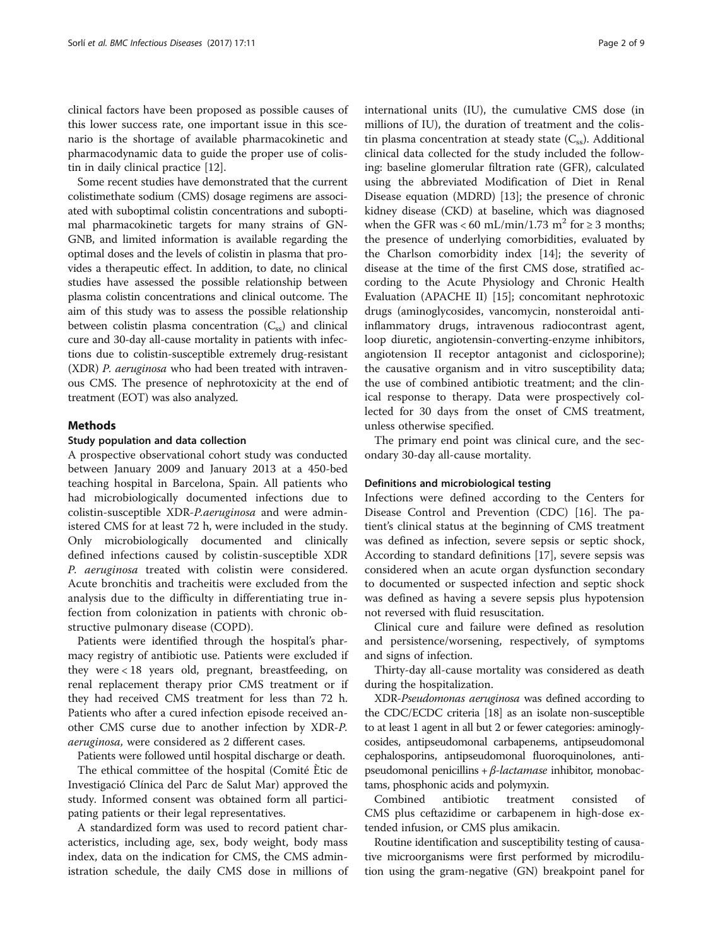clinical factors have been proposed as possible causes of this lower success rate, one important issue in this scenario is the shortage of available pharmacokinetic and pharmacodynamic data to guide the proper use of colistin in daily clinical practice [[12\]](#page-7-0).

Some recent studies have demonstrated that the current colistimethate sodium (CMS) dosage regimens are associated with suboptimal colistin concentrations and suboptimal pharmacokinetic targets for many strains of GN-GNB, and limited information is available regarding the optimal doses and the levels of colistin in plasma that provides a therapeutic effect. In addition, to date, no clinical studies have assessed the possible relationship between plasma colistin concentrations and clinical outcome. The aim of this study was to assess the possible relationship between colistin plasma concentration  $(C_{ss})$  and clinical cure and 30-day all-cause mortality in patients with infections due to colistin-susceptible extremely drug-resistant (XDR) P. aeruginosa who had been treated with intravenous CMS. The presence of nephrotoxicity at the end of treatment (EOT) was also analyzed.

#### Methods

#### Study population and data collection

A prospective observational cohort study was conducted between January 2009 and January 2013 at a 450-bed teaching hospital in Barcelona, Spain. All patients who had microbiologically documented infections due to colistin-susceptible XDR-P.aeruginosa and were administered CMS for at least 72 h, were included in the study. Only microbiologically documented and clinically defined infections caused by colistin-susceptible XDR P. aeruginosa treated with colistin were considered. Acute bronchitis and tracheitis were excluded from the analysis due to the difficulty in differentiating true infection from colonization in patients with chronic obstructive pulmonary disease (COPD).

Patients were identified through the hospital's pharmacy registry of antibiotic use. Patients were excluded if they were < 18 years old, pregnant, breastfeeding, on renal replacement therapy prior CMS treatment or if they had received CMS treatment for less than 72 h. Patients who after a cured infection episode received another CMS curse due to another infection by XDR-P. aeruginosa, were considered as 2 different cases.

Patients were followed until hospital discharge or death.

The ethical committee of the hospital (Comité Ètic de Investigació Clínica del Parc de Salut Mar) approved the study. Informed consent was obtained form all participating patients or their legal representatives.

A standardized form was used to record patient characteristics, including age, sex, body weight, body mass index, data on the indication for CMS, the CMS administration schedule, the daily CMS dose in millions of

international units (IU), the cumulative CMS dose (in millions of IU), the duration of treatment and the colistin plasma concentration at steady state  $(C_{\text{ss}})$ . Additional clinical data collected for the study included the following: baseline glomerular filtration rate (GFR), calculated using the abbreviated Modification of Diet in Renal Disease equation (MDRD) [\[13\]](#page-7-0); the presence of chronic kidney disease (CKD) at baseline, which was diagnosed when the GFR was < 60 mL/min/1.73 m<sup>2</sup> for  $\geq$  3 months; the presence of underlying comorbidities, evaluated by the Charlson comorbidity index [[14](#page-7-0)]; the severity of disease at the time of the first CMS dose, stratified according to the Acute Physiology and Chronic Health Evaluation (APACHE II) [[15](#page-7-0)]; concomitant nephrotoxic drugs (aminoglycosides, vancomycin, nonsteroidal antiinflammatory drugs, intravenous radiocontrast agent, loop diuretic, angiotensin-converting-enzyme inhibitors, angiotension II receptor antagonist and ciclosporine); the causative organism and in vitro susceptibility data; the use of combined antibiotic treatment; and the clinical response to therapy. Data were prospectively collected for 30 days from the onset of CMS treatment, unless otherwise specified.

The primary end point was clinical cure, and the secondary 30-day all-cause mortality.

#### Definitions and microbiological testing

Infections were defined according to the Centers for Disease Control and Prevention (CDC) [\[16](#page-7-0)]. The patient's clinical status at the beginning of CMS treatment was defined as infection, severe sepsis or septic shock, According to standard definitions [[17\]](#page-7-0), severe sepsis was considered when an acute organ dysfunction secondary to documented or suspected infection and septic shock was defined as having a severe sepsis plus hypotension not reversed with fluid resuscitation.

Clinical cure and failure were defined as resolution and persistence/worsening, respectively, of symptoms and signs of infection.

Thirty-day all-cause mortality was considered as death during the hospitalization.

XDR-Pseudomonas aeruginosa was defined according to the CDC/ECDC criteria [[18\]](#page-8-0) as an isolate non-susceptible to at least 1 agent in all but 2 or fewer categories: aminoglycosides, antipseudomonal carbapenems, antipseudomonal cephalosporins, antipseudomonal fluoroquinolones, antipseudomonal penicillins +  $\beta$ -lactamase inhibitor, monobactams, phosphonic acids and polymyxin.

Combined antibiotic treatment consisted of CMS plus ceftazidime or carbapenem in high-dose extended infusion, or CMS plus amikacin.

Routine identification and susceptibility testing of causative microorganisms were first performed by microdilution using the gram-negative (GN) breakpoint panel for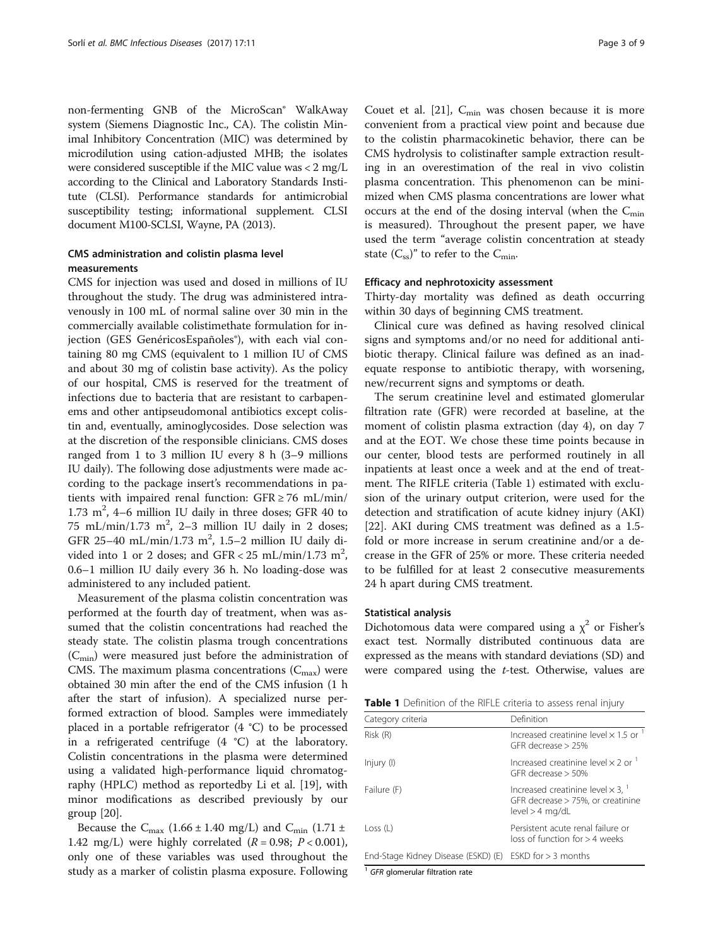non-fermenting GNB of the MicroScan® WalkAway system (Siemens Diagnostic Inc., CA). The colistin Minimal Inhibitory Concentration (MIC) was determined by microdilution using cation-adjusted MHB; the isolates were considered susceptible if the MIC value was < 2 mg/L according to the Clinical and Laboratory Standards Institute (CLSI). Performance standards for antimicrobial susceptibility testing; informational supplement. CLSI document M100-SCLSI, Wayne, PA (2013).

# CMS administration and colistin plasma level measurements

CMS for injection was used and dosed in millions of IU throughout the study. The drug was administered intravenously in 100 mL of normal saline over 30 min in the commercially available colistimethate formulation for injection (GES GenéricosEspañoles®), with each vial containing 80 mg CMS (equivalent to 1 million IU of CMS and about 30 mg of colistin base activity). As the policy of our hospital, CMS is reserved for the treatment of infections due to bacteria that are resistant to carbapenems and other antipseudomonal antibiotics except colistin and, eventually, aminoglycosides. Dose selection was at the discretion of the responsible clinicians. CMS doses ranged from 1 to 3 million IU every 8 h (3–9 millions IU daily). The following dose adjustments were made according to the package insert's recommendations in patients with impaired renal function:  $GFR \ge 76$  mL/min/ 1.73  $m^2$ , 4-6 million IU daily in three doses; GFR 40 to 75 mL/min/1.73 m<sup>2</sup>, 2-3 million IU daily in 2 doses; GFR 25-40 mL/min/1.73 m<sup>2</sup>, 1.5-2 million IU daily divided into 1 or 2 doses; and  $GFR < 25$  mL/min/1.73 m<sup>2</sup>, 0.6–1 million IU daily every 36 h. No loading-dose was administered to any included patient.

Measurement of the plasma colistin concentration was performed at the fourth day of treatment, when was assumed that the colistin concentrations had reached the steady state. The colistin plasma trough concentrations  $(C_{\text{min}})$  were measured just before the administration of CMS. The maximum plasma concentrations  $(C_{\text{max}})$  were obtained 30 min after the end of the CMS infusion (1 h after the start of infusion). A specialized nurse performed extraction of blood. Samples were immediately placed in a portable refrigerator (4 °C) to be processed in a refrigerated centrifuge (4 °C) at the laboratory. Colistin concentrations in the plasma were determined using a validated high-performance liquid chromatography (HPLC) method as reportedby Li et al. [[19\]](#page-8-0), with minor modifications as described previously by our group [[20\]](#page-8-0).

Because the  $C_{\text{max}}$  (1.66 ± 1.40 mg/L) and  $C_{\text{min}}$  (1.71 ± 1.42 mg/L) were highly correlated  $(R = 0.98; P < 0.001)$ , only one of these variables was used throughout the study as a marker of colistin plasma exposure. Following

Couet et al. [\[21\]](#page-8-0),  $C_{\text{min}}$  was chosen because it is more convenient from a practical view point and because due to the colistin pharmacokinetic behavior, there can be CMS hydrolysis to colistinafter sample extraction resulting in an overestimation of the real in vivo colistin plasma concentration. This phenomenon can be minimized when CMS plasma concentrations are lower what occurs at the end of the dosing interval (when the  $C_{\text{min}}$ ) is measured). Throughout the present paper, we have used the term "average colistin concentration at steady state  $(C_{ss})^n$  to refer to the  $C_{min}$ .

#### Efficacy and nephrotoxicity assessment

Thirty-day mortality was defined as death occurring within 30 days of beginning CMS treatment.

Clinical cure was defined as having resolved clinical signs and symptoms and/or no need for additional antibiotic therapy. Clinical failure was defined as an inadequate response to antibiotic therapy, with worsening, new/recurrent signs and symptoms or death.

The serum creatinine level and estimated glomerular filtration rate (GFR) were recorded at baseline, at the moment of colistin plasma extraction (day 4), on day 7 and at the EOT. We chose these time points because in our center, blood tests are performed routinely in all inpatients at least once a week and at the end of treatment. The RIFLE criteria (Table 1) estimated with exclusion of the urinary output criterion, were used for the detection and stratification of acute kidney injury (AKI) [[22\]](#page-8-0). AKI during CMS treatment was defined as a 1.5 fold or more increase in serum creatinine and/or a decrease in the GFR of 25% or more. These criteria needed to be fulfilled for at least 2 consecutive measurements 24 h apart during CMS treatment.

#### Statistical analysis

Dichotomous data were compared using a  $\chi^2$  or Fisher's exact test. Normally distributed continuous data are expressed as the means with standard deviations (SD) and were compared using the *t*-test. Otherwise, values are

| Table 1 Definition of the RIFLE criteria to assess renal injury |  |  |
|-----------------------------------------------------------------|--|--|
|-----------------------------------------------------------------|--|--|

| Category criteria                   | Definition                                                                                               |
|-------------------------------------|----------------------------------------------------------------------------------------------------------|
| Risk (R)                            | Increased creatinine level $\times$ 1.5 or $^{-1}$<br>GFR decrease $>$ 25%                               |
| Injury (I)                          | Increased creatinine level $\times$ 2 or $^1$<br>GFR decrease $>$ 50%                                    |
| Failure (F)                         | Increased creatinine level $\times$ 3, $^{-1}$<br>GFR decrease > 75%, or creatinine<br>$level > 4$ mg/dL |
| Loss (L)                            | Persistent acute renal failure or<br>$loss$ of function for $> 4$ weeks                                  |
| End-Stage Kidney Disease (ESKD) (E) | ESKD for $>$ 3 months                                                                                    |

 $1$  GFR glomerular filtration rate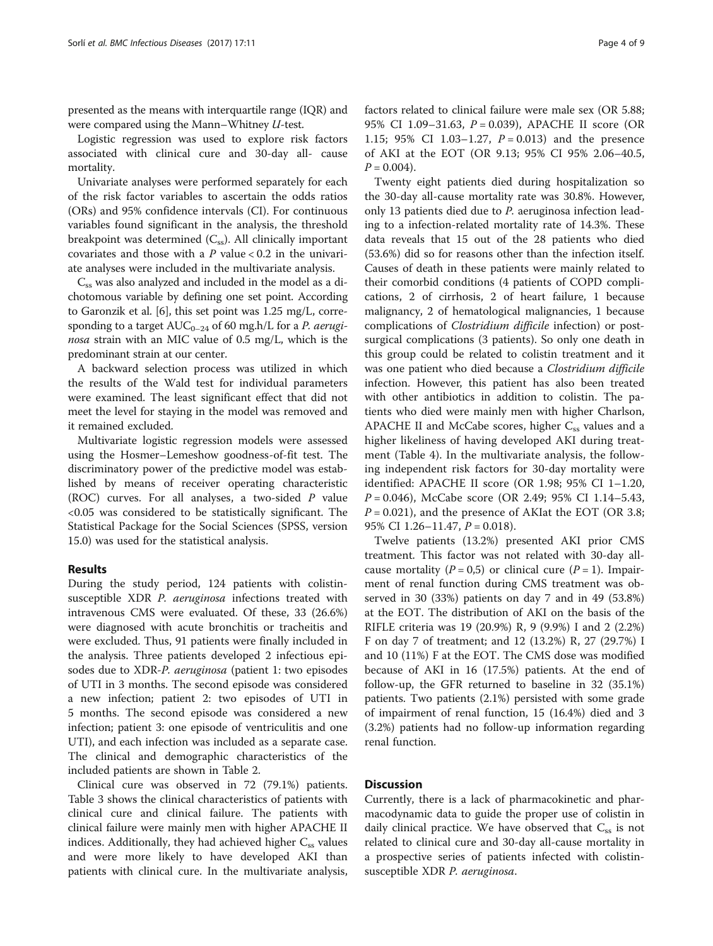presented as the means with interquartile range (IQR) and were compared using the Mann–Whitney U-test.

Logistic regression was used to explore risk factors associated with clinical cure and 30-day all- cause mortality.

Univariate analyses were performed separately for each of the risk factor variables to ascertain the odds ratios (ORs) and 95% confidence intervals (CI). For continuous variables found significant in the analysis, the threshold breakpoint was determined  $(C_{ss})$ . All clinically important covariates and those with a  $P$  value < 0.2 in the univariate analyses were included in the multivariate analysis.

 $C_{ss}$  was also analyzed and included in the model as a dichotomous variable by defining one set point. According to Garonzik et al. [\[6](#page-7-0)], this set point was 1.25 mg/L, corresponding to a target  $AUC_{0-24}$  of 60 mg.h/L for a P. aeruginosa strain with an MIC value of 0.5 mg/L, which is the predominant strain at our center.

A backward selection process was utilized in which the results of the Wald test for individual parameters were examined. The least significant effect that did not meet the level for staying in the model was removed and it remained excluded.

Multivariate logistic regression models were assessed using the Hosmer–Lemeshow goodness-of-fit test. The discriminatory power of the predictive model was established by means of receiver operating characteristic (ROC) curves. For all analyses, a two-sided  $P$  value <0.05 was considered to be statistically significant. The Statistical Package for the Social Sciences (SPSS, version 15.0) was used for the statistical analysis.

#### Results

During the study period, 124 patients with colistinsusceptible XDR P. aeruginosa infections treated with intravenous CMS were evaluated. Of these, 33 (26.6%) were diagnosed with acute bronchitis or tracheitis and were excluded. Thus, 91 patients were finally included in the analysis. Three patients developed 2 infectious episodes due to XDR-P. aeruginosa (patient 1: two episodes of UTI in 3 months. The second episode was considered a new infection; patient 2: two episodes of UTI in 5 months. The second episode was considered a new infection; patient 3: one episode of ventriculitis and one UTI), and each infection was included as a separate case. The clinical and demographic characteristics of the included patients are shown in Table [2.](#page-4-0)

Clinical cure was observed in 72 (79.1%) patients. Table [3](#page-5-0) shows the clinical characteristics of patients with clinical cure and clinical failure. The patients with clinical failure were mainly men with higher APACHE II indices. Additionally, they had achieved higher  $C_{ss}$  values and were more likely to have developed AKI than patients with clinical cure. In the multivariate analysis, factors related to clinical failure were male sex (OR 5.88; 95% CI 1.09–31.63, P = 0.039), APACHE II score (OR 1.15; 95% CI 1.03-1.27,  $P = 0.013$  and the presence of AKI at the EOT (OR 9.13; 95% CI 95% 2.06–40.5,  $P = 0.004$ ).

Twenty eight patients died during hospitalization so the 30-day all-cause mortality rate was 30.8%. However, only 13 patients died due to P. aeruginosa infection leading to a infection-related mortality rate of 14.3%. These data reveals that 15 out of the 28 patients who died (53.6%) did so for reasons other than the infection itself. Causes of death in these patients were mainly related to their comorbid conditions (4 patients of COPD complications, 2 of cirrhosis, 2 of heart failure, 1 because malignancy, 2 of hematological malignancies, 1 because complications of Clostridium difficile infection) or postsurgical complications (3 patients). So only one death in this group could be related to colistin treatment and it was one patient who died because a Clostridium difficile infection. However, this patient has also been treated with other antibiotics in addition to colistin. The patients who died were mainly men with higher Charlson, APACHE II and McCabe scores, higher  $C_{ss}$  values and a higher likeliness of having developed AKI during treatment (Table [4\)](#page-5-0). In the multivariate analysis, the following independent risk factors for 30-day mortality were identified: APACHE II score (OR 1.98; 95% CI 1–1.20,  $P = 0.046$ , McCabe score (OR 2.49; 95% CI 1.14–5.43,  $P = 0.021$ ), and the presence of AKIat the EOT (OR 3.8; 95% CI 1.26–11.47, P = 0.018).

Twelve patients (13.2%) presented AKI prior CMS treatment. This factor was not related with 30-day allcause mortality ( $P = 0.5$ ) or clinical cure ( $P = 1$ ). Impairment of renal function during CMS treatment was observed in 30 (33%) patients on day 7 and in 49 (53.8%) at the EOT. The distribution of AKI on the basis of the RIFLE criteria was 19 (20.9%) R, 9 (9.9%) I and 2 (2.2%) F on day 7 of treatment; and 12 (13.2%) R, 27 (29.7%) I and 10 (11%) F at the EOT. The CMS dose was modified because of AKI in 16 (17.5%) patients. At the end of follow-up, the GFR returned to baseline in 32 (35.1%) patients. Two patients (2.1%) persisted with some grade of impairment of renal function, 15 (16.4%) died and 3 (3.2%) patients had no follow-up information regarding renal function.

#### **Discussion**

Currently, there is a lack of pharmacokinetic and pharmacodynamic data to guide the proper use of colistin in daily clinical practice. We have observed that  $C_{ss}$  is not related to clinical cure and 30-day all-cause mortality in a prospective series of patients infected with colistinsusceptible XDR P. aeruginosa.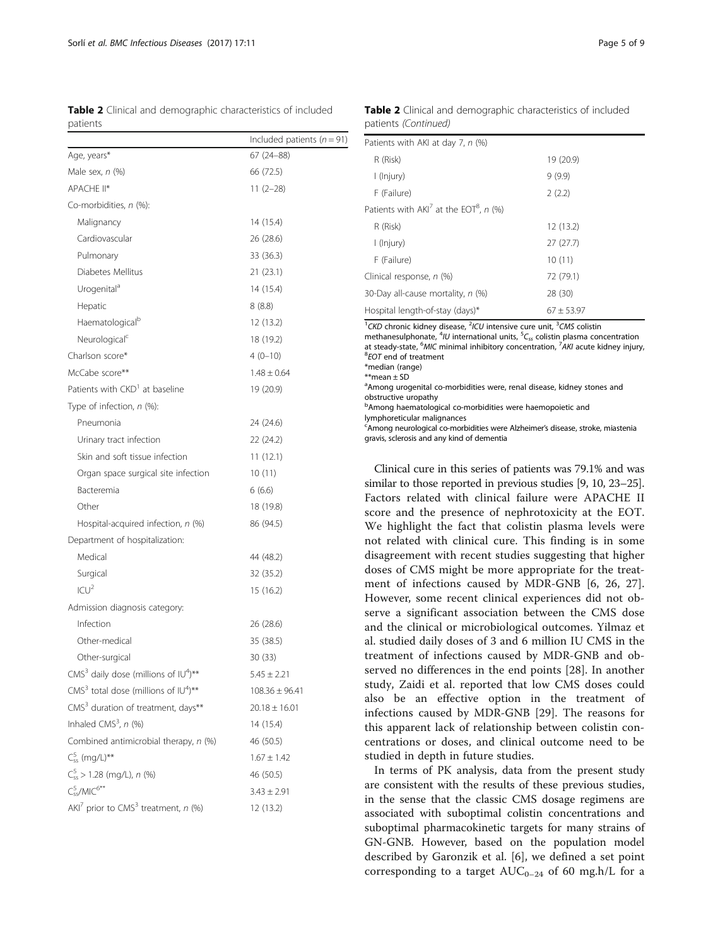<span id="page-4-0"></span>Table 2 Clinical and demographic characteristics of included patients

|                      |  | <b>Table 2</b> Clinical and demographic characteristics of included |  |
|----------------------|--|---------------------------------------------------------------------|--|
| patients (Continued) |  |                                                                     |  |

| <i>J</i> utici ity                                            | Included patients ( $n = 91$ ) |
|---------------------------------------------------------------|--------------------------------|
| Age, years*                                                   | 67 (24-88)                     |
| Male sex, n (%)                                               | 66 (72.5)                      |
| APACHE II*                                                    | $11(2-28)$                     |
| Co-morbidities, n (%):                                        |                                |
| Malignancy                                                    | 14 (15.4)                      |
| Cardiovascular                                                | 26 (28.6)                      |
| Pulmonary                                                     | 33 (36.3)                      |
| Diabetes Mellitus                                             | 21 (23.1)                      |
| Urogenital <sup>a</sup>                                       | 14 (15.4)                      |
| Hepatic                                                       | 8(8.8)                         |
| Haematological <sup>b</sup>                                   | 12 (13.2)                      |
| Neurological <sup>c</sup>                                     | 18 (19.2)                      |
| Charlson score*                                               | $4(0-10)$                      |
| McCabe score**                                                | $1.48 \pm 0.64$                |
| Patients with CKD <sup>1</sup> at baseline                    | 19 (20.9)                      |
| Type of infection, n (%):                                     |                                |
| Pneumonia                                                     | 24 (24.6)                      |
| Urinary tract infection                                       | 22 (24.2)                      |
| Skin and soft tissue infection                                | 11(12.1)                       |
| Organ space surgical site infection                           | 10(11)                         |
| Bacteremia                                                    | 6(6.6)                         |
| Other                                                         | 18 (19.8)                      |
| Hospital-acquired infection, n (%)                            | 86 (94.5)                      |
| Department of hospitalization:                                |                                |
| Medical                                                       | 44 (48.2)                      |
| Surgical                                                      | 32 (35.2)                      |
| ICU <sup>2</sup>                                              | 15 (16.2)                      |
| Admission diagnosis category:                                 |                                |
| Infection                                                     | 26 (28.6)                      |
| Other-medical                                                 | 35 (38.5)                      |
| Other-surgical                                                | 30 (33)                        |
| $CMS3$ daily dose (millions of $IU4$ )**                      | $5.45 \pm 2.21$                |
| CMS <sup>3</sup> total dose (millions of $IU^4$ )**           | $108.36 \pm 96.41$             |
| CMS <sup>3</sup> duration of treatment, days**                | $20.18 \pm 16.01$              |
| Inhaled CMS <sup>3</sup> , $n$ (%)                            | 14 (15.4)                      |
| Combined antimicrobial therapy, n (%)                         | 46 (50.5)                      |
| $C_{ss}^{5}$ (mg/L)**                                         | $1.67 \pm 1.42$                |
| $C_{ss}^5$ > 1.28 (mg/L), n (%)                               | 46 (50.5)                      |
| $C_{ss}^5/MIC^{6**}$                                          | $3.43 \pm 2.91$                |
| AKI <sup>7</sup> prior to CMS <sup>3</sup> treatment, $n$ (%) | 12 (13.2)                      |

| Patients with AKI at day 7, n (%)                     |              |
|-------------------------------------------------------|--------------|
| R (Risk)                                              | 19 (20.9)    |
| l (lnjury)                                            | 9(9.9)       |
| F (Failure)                                           | 2(2.2)       |
| Patients with $AKI^7$ at the EOT <sup>8</sup> , n (%) |              |
| R (Risk)                                              | 12 (13.2)    |
| l (lnjury)                                            | 27(27.7)     |
| F (Failure)                                           | 10(11)       |
| Clinical response, n (%)                              | 72 (79.1)    |
| 30-Day all-cause mortality, n (%)                     | 28 (30)      |
| Hospital length-of-stay (days)*                       | $67 + 53.97$ |

<sup>1</sup>CKD chronic kidney disease, <sup>2</sup>ICU intensive cure unit, <sup>3</sup>CMS colistin

methanesulphonate,  $4$ IU international units,  $5C_{ss}$  colistin plasma concentration at steady-state,  $^{6}$ MIC minimal inhibitory concentration,  $^{7}$ AKI acute kidney injury,  $^{8}$ FOT and of treatment

<sup>8</sup>EOT end of treatment

\*median (range)

\*\*mean ± SD

<sup>a</sup> Among urogenital co-morbidities were, renal disease, kidney stones and obstructive uropathy

**bAmong haematological co-morbidities were haemopoietic and** 

lymphoreticular malignances

<sup>c</sup>Among neurological co-morbidities were Alzheimer's disease, stroke, miastenia gravis, sclerosis and any kind of dementia

Clinical cure in this series of patients was 79.1% and was similar to those reported in previous studies [[9, 10,](#page-7-0) [23](#page-8-0)–[25](#page-8-0)]. Factors related with clinical failure were APACHE II score and the presence of nephrotoxicity at the EOT. We highlight the fact that colistin plasma levels were not related with clinical cure. This finding is in some disagreement with recent studies suggesting that higher doses of CMS might be more appropriate for the treatment of infections caused by MDR-GNB [[6,](#page-7-0) [26, 27](#page-8-0)]. However, some recent clinical experiences did not observe a significant association between the CMS dose and the clinical or microbiological outcomes. Yilmaz et al. studied daily doses of 3 and 6 million IU CMS in the treatment of infections caused by MDR-GNB and observed no differences in the end points [[28\]](#page-8-0). In another study, Zaidi et al. reported that low CMS doses could also be an effective option in the treatment of infections caused by MDR-GNB [[29\]](#page-8-0). The reasons for this apparent lack of relationship between colistin concentrations or doses, and clinical outcome need to be studied in depth in future studies.

In terms of PK analysis, data from the present study are consistent with the results of these previous studies, in the sense that the classic CMS dosage regimens are associated with suboptimal colistin concentrations and suboptimal pharmacokinetic targets for many strains of GN-GNB. However, based on the population model described by Garonzik et al. [\[6](#page-7-0)], we defined a set point corresponding to a target  $AUC_{0-24}$  of 60 mg.h/L for a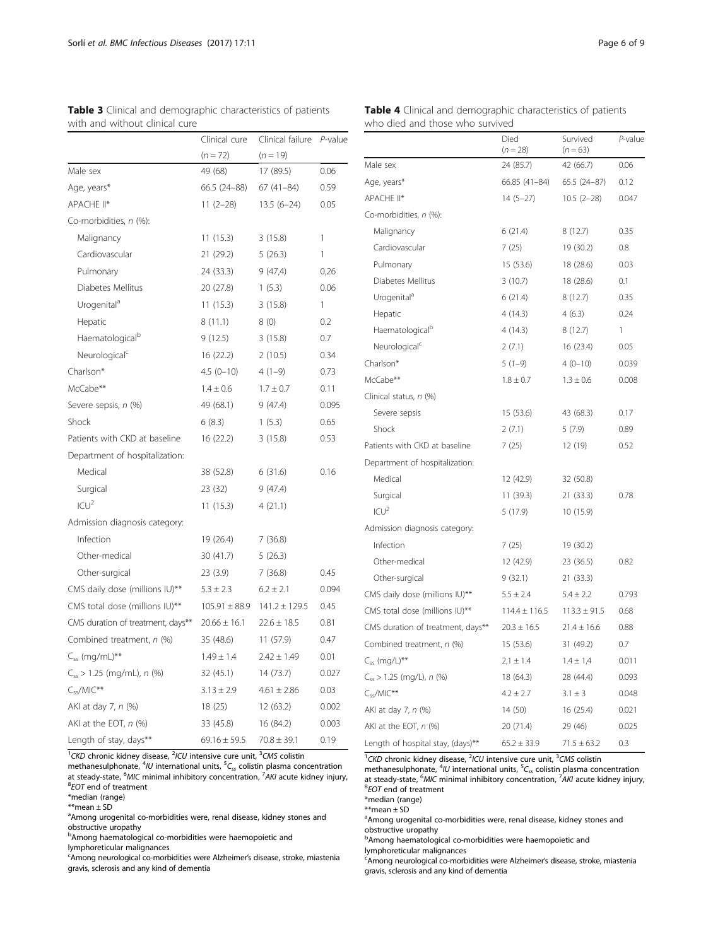|                                   | Clinical cure     | Clinical failure  | P-value      |
|-----------------------------------|-------------------|-------------------|--------------|
|                                   | $(n = 72)$        | $(n = 19)$        |              |
| Male sex                          | 49 (68)           | 17 (89.5)         | 0.06         |
| Age, years*                       | 66.5 (24-88)      | $67(41-84)$       | 0.59         |
| APACHE II*                        | $11(2-28)$        | $13.5(6-24)$      | 0.05         |
| Co-morbidities, n (%):            |                   |                   |              |
| Malignancy                        | 11(15.3)          | 3(15.8)           | 1            |
| Cardiovascular                    | 21 (29.2)         | 5(26.3)           | 1            |
| Pulmonary                         | 24 (33.3)         | 9(47,4)           | 0,26         |
| Diabetes Mellitus                 | 20 (27.8)         | 1(5.3)            | 0.06         |
| Urogenital <sup>a</sup>           | 11(15.3)          | 3(15.8)           | $\mathbf{1}$ |
| Hepatic                           | 8(11.1)           | 8(0)              | 0.2          |
| Haematological <sup>b</sup>       | 9(12.5)           | 3(15.8)           | 0.7          |
| Neurological <sup>c</sup>         | 16 (22.2)         | 2(10.5)           | 0.34         |
| Charlson*                         | $4.5(0-10)$       | $4(1-9)$          | 0.73         |
| McCabe**                          | $1.4 \pm 0.6$     | $1.7 \pm 0.7$     | 0.11         |
| Severe sepsis, n (%)              | 49 (68.1)         | 9(47.4)           | 0.095        |
| Shock                             | 6(8.3)            | 1(5.3)            | 0.65         |
| Patients with CKD at baseline     | 16 (22.2)         | 3(15.8)           | 0.53         |
| Department of hospitalization:    |                   |                   |              |
| Medical                           | 38 (52.8)         | 6(31.6)           | 0.16         |
| Surgical                          | 23 (32)           | 9(47.4)           |              |
| $ CU ^2$                          | 11(15.3)          | 4(21.1)           |              |
| Admission diagnosis category:     |                   |                   |              |
| Infection                         | 19 (26.4)         | 7(36.8)           |              |
| Other-medical                     | 30 (41.7)         | 5(26.3)           |              |
| Other-surgical                    | 23 (3.9)          | 7(36.8)           | 0.45         |
| CMS daily dose (millions IU)**    | $5.3 \pm 2.3$     | $6.2 \pm 2.1$     | 0.094        |
| CMS total dose (millions IU)**    | $105.91 \pm 88.9$ | $141.2 \pm 129.5$ | 0.45         |
| CMS duration of treatment, days** | $20.66 \pm 16.1$  | $22.6 \pm 18.5$   | 0.81         |
| Combined treatment, n (%)         | 35 (48.6)         | 11 (57.9)         | 0.47         |
| $C_{ss}$ (mg/mL)**                | $1.49 \pm 1.4$    | $2.42 \pm 1.49$   | 0.01         |
| $C_{ss}$ > 1.25 (mg/mL), n (%)    | 32 (45.1)         | 14 (73.7)         | 0.027        |
| $C_{ss}$ /MIC**                   | $3.13 \pm 2.9$    | $4.61 \pm 2.86$   | 0.03         |
| AKI at day 7, n (%)               | 18(25)            | 12(63.2)          | 0.002        |
| AKI at the EOT, $n$ (%)           | 33 (45.8)         | 16 (84.2)         | 0.003        |
| Length of stay, days**            | $69.16 \pm 59.5$  | $70.8 \pm 39.1$   | 0.19         |

<span id="page-5-0"></span>

| <b>Table 3</b> Clinical and demographic characteristics of patients |  |
|---------------------------------------------------------------------|--|
| with and without clinical cure                                      |  |

<sup>1</sup>CKD chronic kidney disease, <sup>2</sup>ICU intensive cure unit, <sup>3</sup>CMS colistin

methanesulphonate,  ${}^{4}$ IU international units,  ${}^{5}C_{ss}$  colistin plasma concentration at steady-state, <sup>6</sup>MIC minimal inhibitory concentration, <sup>7</sup>AKI acute kidney injury,<br><sup>8</sup>EOT and of treatment  ${}^{8}$ EOT end of treatment

\*median (range)

\*\*mean ± SD

<sup>a</sup>Among urogenital co-morbidities were, renal disease, kidney stones and

obstructive uropathy<br><sup>b</sup>Among haematological co-morbidities were haemopoietic and

lymphoreticular malignances

<sup>c</sup>Among neurological co-morbidities were Alzheimer's disease, stroke, miastenia gravis, sclerosis and any kind of dementia

|                                   | Died<br>$(n = 28)$ | Survived<br>$(n = 63)$ | P-value |
|-----------------------------------|--------------------|------------------------|---------|
| Male sex                          | 24 (85.7)          | 42 (66.7)              | 0.06    |
| Age, years*                       | 66.85 (41-84)      | 65.5 (24-87)           | 0.12    |
| APACHE II*                        | $14(5-27)$         | $10.5(2-28)$           | 0.047   |
| Co-morbidities, n (%):            |                    |                        |         |
| Malignancy                        | 6(21.4)            | 8(12.7)                | 0.35    |
| Cardiovascular                    | 7(25)              | 19 (30.2)              | 0.8     |
| Pulmonary                         | 15 (53.6)          | 18 (28.6)              | 0.03    |
| Diabetes Mellitus                 | 3(10.7)            | 18 (28.6)              | 0.1     |
| Urogenital <sup>a</sup>           | 6(21.4)            | 8(12.7)                | 0.35    |
| Hepatic                           | 4(14.3)            | 4(6.3)                 | 0.24    |
| Haematological <sup>b</sup>       | 4(14.3)            | 8(12.7)                | 1       |
| Neurological <sup>c</sup>         | 2(7.1)             | 16 (23.4)              | 0.05    |
| Charlson*                         | $5(1-9)$           | $4(0-10)$              | 0.039   |
| McCabe**                          | $1.8 \pm 0.7$      | $1.3 \pm 0.6$          | 0.008   |
| Clinical status, n (%)            |                    |                        |         |
| Severe sepsis                     | 15 (53.6)          | 43 (68.3)              | 0.17    |
| Shock                             | 2(7.1)             | 5(7.9)                 | 0.89    |
| Patients with CKD at baseline     | 7(25)              | 12 (19)                | 0.52    |
| Department of hospitalization:    |                    |                        |         |
| Medical                           | 12 (42.9)          | 32 (50.8)              |         |
| Surgical                          | 11 (39.3)          | 21 (33.3)              | 0.78    |
| ICU <sup>2</sup>                  | 5(17.9)            | 10 (15.9)              |         |
| Admission diagnosis category:     |                    |                        |         |
| Infection                         | 7(25)              | 19 (30.2)              |         |
| Other-medical                     | 12 (42.9)          | 23 (36.5)              | 0.82    |
| Other-surgical                    | 9(32.1)            | 21 (33.3)              |         |
| CMS daily dose (millions IU)**    | $5.5 \pm 2.4$      | $5.4 \pm 2.2$          | 0.793   |
| CMS total dose (millions IU)**    | $114.4 \pm 116.5$  | $113.3 \pm 91.5$       | 0.68    |
| CMS duration of treatment, days** | $20.3 \pm 16.5$    | $21.4 \pm 16.6$        | 0.88    |
| Combined treatment, n (%)         | 15 (53.6)          | 31 (49.2)              | 0.7     |
| $C_{ss}$ (mg/L)**                 | $2.1 \pm 1.4$      | $1.4 \pm 1.4$          | 0.011   |
| $C_{ss}$ > 1.25 (mg/L), n (%)     | 18 (64.3)          | 28 (44.4)              | 0.093   |
| $C_{ss}/MIC^{**}$                 | $4.2 \pm 2.7$      | $3.1 \pm 3$            | 0.048   |
| AKI at day 7, n (%)               | 14 (50)            | 16 (25.4)              | 0.021   |
| AKI at the EOT, $n$ (%)           | 20 (71.4)          | 29 (46)                | 0.025   |
| Length of hospital stay, (days)** | $65.2 \pm 33.9$    | $71.5 \pm 63.2$        | 0.3     |

Table 4 Clinical and demographic characteristics of patients who died and those who survived

<sup>1</sup>CKD chronic kidney disease, <sup>2</sup>ICU intensive cure unit, <sup>3</sup>CMS colistin<br>methanesulphonate, <sup>4</sup>IU international units, <sup>5</sup>C<sub>ss</sub> colistin plasma concentration at steady-state,  $^{6}$ MIC minimal inhibitory concentration,  $^{7}$ AKI acute kidney injury,  $^{8}$ EOT and of treatment  ${}^{8}$ EOT end of treatment

\*median (range)

 $\stackrel{\text{\tiny $\ast$}\text{\tiny $\ast$}}{\text{\tiny $\ast$}}$  mean  $\pm$  SD

<sup>a</sup> Among urogenital co-morbidities were, renal disease, kidney stones and obstructive uropathy

**b**Among haematological co-morbidities were haemopoietic and

lymphoreticular malignances

<sup>c</sup>Among neurological co-morbidities were Alzheimer's disease, stroke, miastenia gravis, sclerosis and any kind of dementia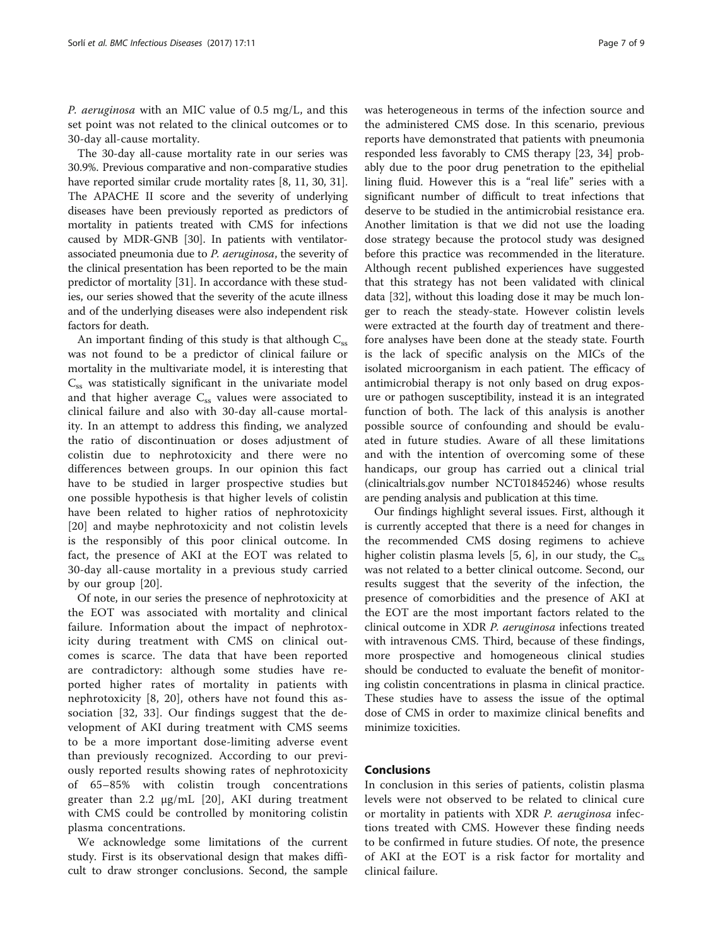P. aeruginosa with an MIC value of 0.5 mg/L, and this set point was not related to the clinical outcomes or to 30-day all-cause mortality.

The 30-day all-cause mortality rate in our series was 30.9%. Previous comparative and non-comparative studies have reported similar crude mortality rates [\[8, 11,](#page-7-0) [30](#page-8-0), [31](#page-8-0)]. The APACHE II score and the severity of underlying diseases have been previously reported as predictors of mortality in patients treated with CMS for infections caused by MDR-GNB [[30](#page-8-0)]. In patients with ventilatorassociated pneumonia due to P. aeruginosa, the severity of the clinical presentation has been reported to be the main predictor of mortality [\[31\]](#page-8-0). In accordance with these studies, our series showed that the severity of the acute illness and of the underlying diseases were also independent risk factors for death.

An important finding of this study is that although  $C_{ss}$ was not found to be a predictor of clinical failure or mortality in the multivariate model, it is interesting that  $C_{ss}$  was statistically significant in the univariate model and that higher average  $C_{ss}$  values were associated to clinical failure and also with 30-day all-cause mortality. In an attempt to address this finding, we analyzed the ratio of discontinuation or doses adjustment of colistin due to nephrotoxicity and there were no differences between groups. In our opinion this fact have to be studied in larger prospective studies but one possible hypothesis is that higher levels of colistin have been related to higher ratios of nephrotoxicity [[20\]](#page-8-0) and maybe nephrotoxicity and not colistin levels is the responsibly of this poor clinical outcome. In fact, the presence of AKI at the EOT was related to 30-day all-cause mortality in a previous study carried by our group [\[20](#page-8-0)].

Of note, in our series the presence of nephrotoxicity at the EOT was associated with mortality and clinical failure. Information about the impact of nephrotoxicity during treatment with CMS on clinical outcomes is scarce. The data that have been reported are contradictory: although some studies have reported higher rates of mortality in patients with nephrotoxicity [[8,](#page-7-0) [20](#page-8-0)], others have not found this association [[32, 33](#page-8-0)]. Our findings suggest that the development of AKI during treatment with CMS seems to be a more important dose-limiting adverse event than previously recognized. According to our previously reported results showing rates of nephrotoxicity of 65–85% with colistin trough concentrations greater than 2.2 μg/mL [[20\]](#page-8-0), AKI during treatment with CMS could be controlled by monitoring colistin plasma concentrations.

We acknowledge some limitations of the current study. First is its observational design that makes difficult to draw stronger conclusions. Second, the sample

was heterogeneous in terms of the infection source and the administered CMS dose. In this scenario, previous reports have demonstrated that patients with pneumonia responded less favorably to CMS therapy [[23](#page-8-0), [34\]](#page-8-0) probably due to the poor drug penetration to the epithelial lining fluid. However this is a "real life" series with a significant number of difficult to treat infections that deserve to be studied in the antimicrobial resistance era. Another limitation is that we did not use the loading dose strategy because the protocol study was designed before this practice was recommended in the literature. Although recent published experiences have suggested that this strategy has not been validated with clinical data [\[32](#page-8-0)], without this loading dose it may be much longer to reach the steady-state. However colistin levels were extracted at the fourth day of treatment and therefore analyses have been done at the steady state. Fourth is the lack of specific analysis on the MICs of the isolated microorganism in each patient. The efficacy of antimicrobial therapy is not only based on drug exposure or pathogen susceptibility, instead it is an integrated function of both. The lack of this analysis is another possible source of confounding and should be evaluated in future studies. Aware of all these limitations and with the intention of overcoming some of these handicaps, our group has carried out a clinical trial (clinicaltrials.gov number NCT01845246) whose results are pending analysis and publication at this time.

Our findings highlight several issues. First, although it is currently accepted that there is a need for changes in the recommended CMS dosing regimens to achieve higher colistin plasma levels [[5](#page-7-0), [6](#page-7-0)], in our study, the  $C_{ss}$ was not related to a better clinical outcome. Second, our results suggest that the severity of the infection, the presence of comorbidities and the presence of AKI at the EOT are the most important factors related to the clinical outcome in XDR P. aeruginosa infections treated with intravenous CMS. Third, because of these findings, more prospective and homogeneous clinical studies should be conducted to evaluate the benefit of monitoring colistin concentrations in plasma in clinical practice. These studies have to assess the issue of the optimal dose of CMS in order to maximize clinical benefits and minimize toxicities.

# Conclusions

In conclusion in this series of patients, colistin plasma levels were not observed to be related to clinical cure or mortality in patients with XDR P. aeruginosa infections treated with CMS. However these finding needs to be confirmed in future studies. Of note, the presence of AKI at the EOT is a risk factor for mortality and clinical failure.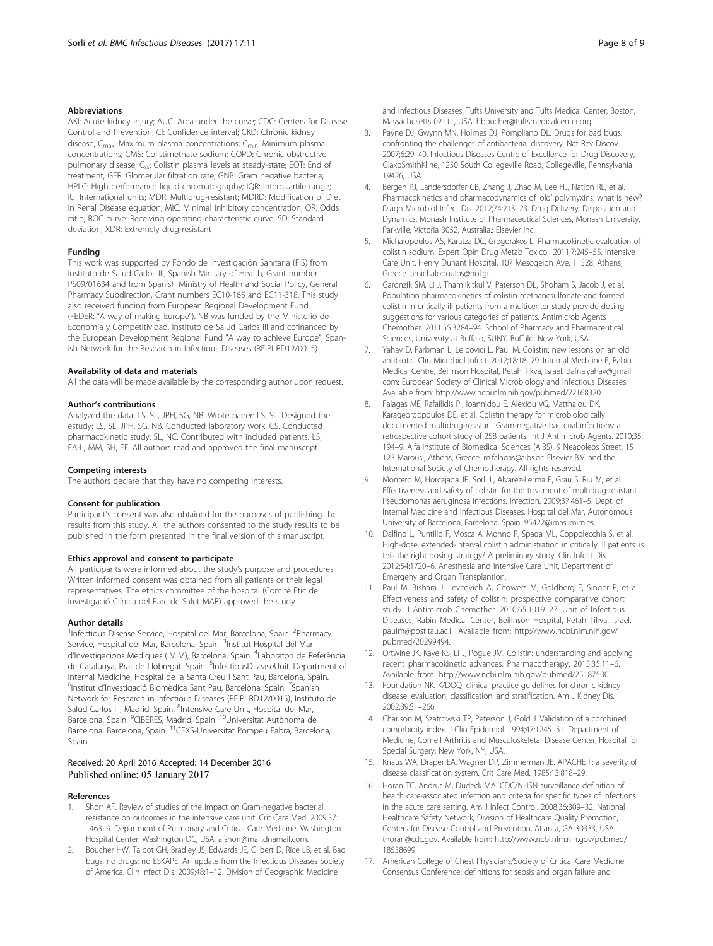#### <span id="page-7-0"></span>Abbreviations

AKI: Acute kidney injury; AUC: Area under the curve; CDC: Centers for Disease Control and Prevention; CI: Confidence interval; CKD: Chronic kidney disease; C<sub>max</sub>: Maximum plasma concentrations; C<sub>min</sub>: Minimum plasma concentrations; CMS: Colistimethate sodium; COPD: Chronic obstructive pulmonary disease; C<sub>ss</sub>: Colistin plasma levels at steady-state; EOT: End of treatment; GFR: Glomerular filtration rate; GNB: Gram negative bacteria; HPLC: High performance liquid chromatography; IQR: Interquartile range; IU: International units; MDR: Multidrug-resistant; MDRD: Modification of Diet in Renal Disease equation; MIC: Minimal inhibitory concentration; OR: Odds ratio; ROC curve: Receiving operating characteristic curve; SD: Standard deviation; XDR: Extremely drug-resistant

#### Funding

This work was supported by Fondo de Investigación Sanitaria (FIS) from Instituto de Salud Carlos III, Spanish Ministry of Health, Grant number PS09/01634 and from Spanish Ministry of Health and Social Policy, General Pharmacy Subdirection, Grant numbers EC10-165 and EC11-318. This study also received funding from European Regional Development Fund (FEDER: "A way of making Europe"). NB was funded by the Ministerio de Economía y Competitividad, Instituto de Salud Carlos III and cofinanced by the European Development Regional Fund "A way to achieve Europe", Spanish Network for the Research in Infectious Diseases (REIPI RD12/0015).

#### Availability of data and materials

All the data will be made available by the corresponding author upon request.

#### Author's contributions

Analyzed the data: LS, SL, JPH, SG, NB. Wrote paper: LS, SL. Designed the estudy: LS, SL, JPH, SG, NB. Conducted laboratory work: CS. Conducted pharmacokinetic study: SL, NC. Contributed with included patients: LS, FA-L, MM, SH, EE. All authors read and approved the final manuscript.

#### Competing interests

The authors declare that they have no competing interests.

#### Consent for publication

Participant's consent was also obtained for the purposes of publishing the results from this study. All the authors consented to the study results to be published in the form presented in the final version of this manuscript.

#### Ethics approval and consent to participate

All participants were informed about the study's purpose and procedures. Written informed consent was obtained from all patients or their legal representatives. The ethics committee of the hospital (Comitè Ètic de Investigació Clínica del Parc de Salut MAR) approved the study.

#### Author details

<sup>1</sup>Infectious Disease Service, Hospital del Mar, Barcelona, Spain. <sup>2</sup>Pharmacy Service, Hospital del Mar, Barcelona, Spain. <sup>3</sup>Institut Hospital del Mar d'Investigacions Mèdiques (IMIM), Barcelona, Spain. <sup>4</sup>Laboratori de Referència de Catalunya, Prat de Llobregat, Spain. <sup>5</sup>InfectiousDiseaseUnit, Department of Internal Medicine, Hospital de la Santa Creu i Sant Pau, Barcelona, Spain. <sup>6</sup>Institut d'Investigació Biomèdica Sant Pau, Barcelona, Spain. <sup>7</sup>Spanish Network for Research in Infectious Diseases (REIPI RD12/0015), Instituto de Salud Carlos III, Madrid, Spain. <sup>8</sup>Intensive Care Unit, Hospital del Mar, Barcelona, Spain. <sup>9</sup>CIBERES, Madrid, Spain. <sup>10</sup>Universitat Autònoma de Barcelona, Barcelona, Spain. 11CEXS-Universitat Pompeu Fabra, Barcelona, Spain

#### Received: 20 April 2016 Accepted: 14 December 2016 Published online: 05 January 2017

#### References

- 1. Shorr AF. Review of studies of the impact on Gram-negative bacterial resistance on outcomes in the intensive care unit. Crit Care Med. 2009;37: 1463–9. Department of Pulmonary and Critical Care Medicine, Washington Hospital Center, Washington DC, USA. afshorr@mail.dnamail.com.
- 2. Boucher HW, Talbot GH, Bradley JS, Edwards JE, Gilbert D, Rice LB, et al. Bad bugs, no drugs: no ESKAPE! An update from the Infectious Diseases Society of America. Clin Infect Dis. 2009;48:1–12. Division of Geographic Medicine

and Infectious Diseases, Tufts University and Tufts Medical Center, Boston, Massachusetts 02111, USA. hboucher@tuftsmedicalcenter.org.

- 3. Payne DJ, Gwynn MN, Holmes DJ, Pompliano DL. Drugs for bad bugs: confronting the challenges of antibacterial discovery. Nat Rev Discov. 2007;6:29–40. Infectious Diseases Centre of Excellence for Drug Discovery, GlaxoSmithKline, 1250 South Collegeville Road, Collegeville, Pennsylvania 19426, USA.
- 4. Bergen PJ, Landersdorfer CB, Zhang J, Zhao M, Lee HJ, Nation RL, et al. Pharmacokinetics and pharmacodynamics of 'old' polymyxins: what is new? Diagn Microbiol Infect Dis. 2012;74:213–23. Drug Delivery, Disposition and Dynamics, Monash Institute of Pharmaceutical Sciences, Monash University, Parkville, Victoria 3052, Australia.: Elsevier Inc.
- 5. Michalopoulos AS, Karatza DC, Gregorakos L. Pharmacokinetic evaluation of colistin sodium. Expert Opin Drug Metab Toxicol. 2011;7:245–55. Intensive Care Unit, Henry Dunant Hospital, 107 Mesogeion Ave, 11528, Athens, Greece. amichalopoulos@hol.gr.
- 6. Garonzik SM, Li J, Thamlikitkul V, Paterson DL, Shoham S, Jacob J, et al. Population pharmacokinetics of colistin methanesulfonate and formed colistin in critically ill patients from a multicenter study provide dosing suggestions for various categories of patients. Antimicrob Agents Chemother. 2011;55:3284–94. School of Pharmacy and Pharmaceutical Sciences, University at Buffalo, SUNY, Buffalo, New York, USA.
- 7. Yahav D, Farbman L, Leibovici L, Paul M. Colistin: new lessons on an old antibiotic. Clin Microbiol Infect. 2012;18:18–29. Internal Medicine E, Rabin Medical Centre, Beilinson Hospital, Petah Tikva, Israel. dafna.yahav@gmail. com: European Society of Clinical Microbiology and Infectious Diseases. Available from:<http://www.ncbi.nlm.nih.gov/pubmed/22168320>.
- 8. Falagas ME, Rafailidis PI, Ioannidou E, Alexiou VG, Matthaiou DK, Karageorgopoulos DE, et al. Colistin therapy for microbiologically documented multidrug-resistant Gram-negative bacterial infections: a retrospective cohort study of 258 patients. Int J Antimicrob Agents. 2010;35: 194–9. Alfa Institute of Biomedical Sciences (AIBS), 9 Neapoleos Street, 15 123 Marousi, Athens, Greece. m.falagas@aibs.gr: Elsevier B.V. and the International Society of Chemotherapy. All rights reserved.
- 9. Montero M, Horcajada JP, Sorli L, Alvarez-Lerma F, Grau S, Riu M, et al. Effectiveness and safety of colistin for the treatment of multidrug-resistant Pseudomonas aeruginosa infections. Infection. 2009;37:461–5. Dept. of Internal Medicine and Infectious Diseases, Hospital del Mar, Autonomous University of Barcelona, Barcelona, Spain. 95422@imas.imim.es.
- 10. Dalfino L, Puntillo F, Mosca A, Monno R, Spada ML, Coppolecchia S, et al. High-dose, extended-interval colistin administration in critically ill patients: is this the right dosing strategy? A preliminary study. Clin Infect Dis. 2012;54:1720–6. Anesthesia and Intensive Care Unit, Department of Emergeny and Organ Transplantion.
- 11. Paul M, Bishara J, Levcovich A, Chowers M, Goldberg E, Singer P, et al. Effectiveness and safety of colistin: prospective comparative cohort study. J Antimicrob Chemother. 2010;65:1019–27. Unit of Infectious Diseases, Rabin Medical Center, Beilinson Hospital, Petah Tikva, Israel. paulm@post.tau.ac.il. Available from: [http://www.ncbi.nlm.nih.gov/](http://www.ncbi.nlm.nih.gov/pubmed/20299494) [pubmed/20299494](http://www.ncbi.nlm.nih.gov/pubmed/20299494).
- 12. Ortwine JK, Kaye KS, Li J, Pogue JM. Colistin: understanding and applying recent pharmacokinetic advances. Pharmacotherapy. 2015;35:11–6. Available from: [http://www.ncbi.nlm.nih.gov/pubmed/25187500.](http://www.ncbi.nlm.nih.gov/pubmed/25187500)
- 13. Foundation NK. K/DOQI clinical practice guidelines for chronic kidney disease: evaluation, classification, and stratification. Am J Kidney Dis. 2002;39:S1–266.
- 14. Charlson M, Szatrowski TP, Peterson J, Gold J. Validation of a combined comorbidity index. J Clin Epidemiol. 1994;47:1245–51. Department of Medicine, Cornell Arthritis and Musculoskeletal Disease Center, Hospital for Special Surgery, New York, NY, USA.
- 15. Knaus WA, Draper EA, Wagner DP, Zimmerman JE. APACHE II: a severity of disease classification system. Crit Care Med. 1985;13:818–29.
- 16. Horan TC, Andrus M, Dudeck MA. CDC/NHSN surveillance definition of health care-associated infection and criteria for specific types of infections in the acute care setting. Am J Infect Control. 2008;36:309–32. National Healthcare Safety Network, Division of Healthcare Quality Promotion, Centers for Disease Control and Prevention, Atlanta, GA 30333, USA. thoran@cdc.gov. Available from: [http://www.ncbi.nlm.nih.gov/pubmed/](http://www.ncbi.nlm.nih.gov/pubmed/18538699) [18538699](http://www.ncbi.nlm.nih.gov/pubmed/18538699).
- 17. American College of Chest Physicians/Society of Critical Care Medicine Consensus Conference: definitions for sepsis and organ failure and